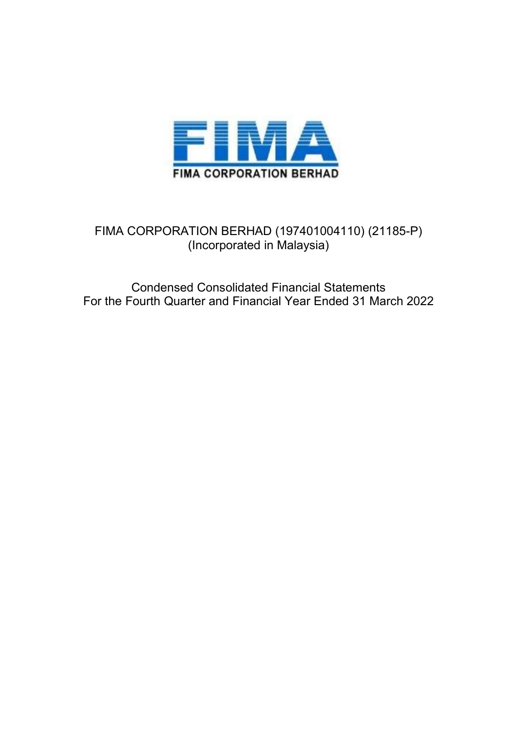

# FIMA CORPORATION BERHAD (197401004110) (21185-P) (Incorporated in Malaysia)

Condensed Consolidated Financial Statements For the Fourth Quarter and Financial Year Ended 31 March 2022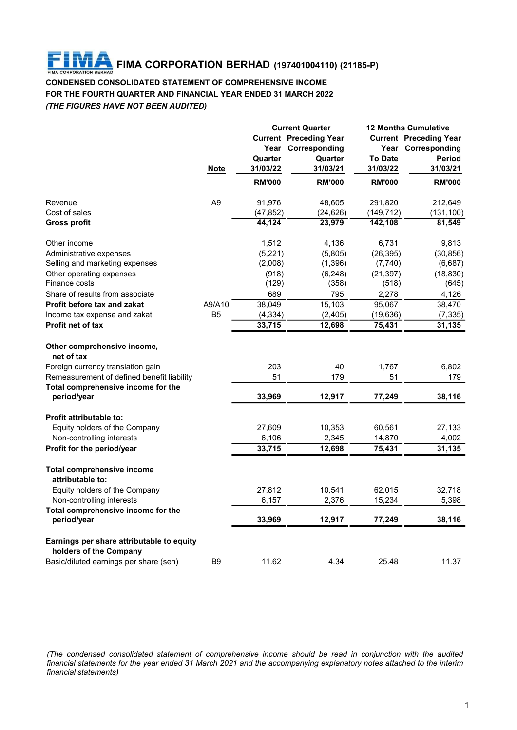#### IM A FIMA CORPORATION BERHAD (197401004110) (21185-P) FIMA **CORPORATION BERHAD**

# CONDENSED CONSOLIDATED STATEMENT OF COMPREHENSIVE INCOME FOR THE FOURTH QUARTER AND FINANCIAL YEAR ENDED 31 MARCH 2022 (THE FIGURES HAVE NOT BEEN AUDITED)

| <b>Current Preceding Year</b><br><b>Current Preceding Year</b><br>Year Corresponding<br>Year Corresponding<br><b>To Date</b><br>Period<br>Quarter<br>Quarter<br>31/03/22<br>31/03/21<br>31/03/22<br><b>Note</b><br>31/03/21<br><b>RM'000</b><br><b>RM'000</b><br><b>RM'000</b><br><b>RM'000</b><br>A <sub>9</sub><br>91,976<br>212,649<br>48,605<br>291,820<br>(24, 626)<br>(149, 712)<br>(47, 852)<br>(131, 100)<br>44,124<br>23,979<br>142,108<br>81,549<br>1,512<br>4,136<br>6,731<br>9,813<br>(5,221)<br>(5,805)<br>(26, 395)<br>(30, 856)<br>(2,008)<br>(1, 396)<br>(7,740)<br>(6,687)<br>(918)<br>(6, 248)<br>(21, 397)<br>(18, 830)<br>(129)<br>(358)<br>(518)<br>(645)<br>689<br>795<br>2,278<br>4,126<br>A9/A10<br>38,049<br>15,103<br>95,067<br>38,470<br>B <sub>5</sub><br>(4, 334)<br>(2, 405)<br>(19, 636)<br>(7, 335)<br>33,715<br>12,698<br>75,431<br>31,135<br>net of tax<br>40<br>203<br>1,767<br>6,802<br>51<br>51<br>179<br>179<br>33,969<br>12,917<br>77,249<br>period/year<br>38,116<br>Equity holders of the Company<br>27,609<br>10,353<br>60,561<br>27,133<br>2,345<br>Non-controlling interests<br>6,106<br>14,870<br>4,002<br>33,715<br>75,431<br>31,135<br>12,698<br>attributable to:<br>Equity holders of the Company<br>27,812<br>10,541<br>62,015<br>32,718<br>6,157<br>2,376<br>15,234<br>5,398<br>Non-controlling interests |
|-------------------------------------------------------------------------------------------------------------------------------------------------------------------------------------------------------------------------------------------------------------------------------------------------------------------------------------------------------------------------------------------------------------------------------------------------------------------------------------------------------------------------------------------------------------------------------------------------------------------------------------------------------------------------------------------------------------------------------------------------------------------------------------------------------------------------------------------------------------------------------------------------------------------------------------------------------------------------------------------------------------------------------------------------------------------------------------------------------------------------------------------------------------------------------------------------------------------------------------------------------------------------------------------------------------------------------------------------------------|
|                                                                                                                                                                                                                                                                                                                                                                                                                                                                                                                                                                                                                                                                                                                                                                                                                                                                                                                                                                                                                                                                                                                                                                                                                                                                                                                                                             |
| Revenue<br>Cost of sales<br><b>Gross profit</b><br>Other income<br>Administrative expenses<br>Selling and marketing expenses<br>Other operating expenses<br>Finance costs<br>Share of results from associate<br>Profit before tax and zakat<br>Income tax expense and zakat<br>Profit net of tax<br>Other comprehensive income,<br>Foreign currency translation gain<br>Remeasurement of defined benefit liability<br>Total comprehensive income for the<br>Profit attributable to:<br>Profit for the period/year<br><b>Total comprehensive income</b>                                                                                                                                                                                                                                                                                                                                                                                                                                                                                                                                                                                                                                                                                                                                                                                                      |
|                                                                                                                                                                                                                                                                                                                                                                                                                                                                                                                                                                                                                                                                                                                                                                                                                                                                                                                                                                                                                                                                                                                                                                                                                                                                                                                                                             |
|                                                                                                                                                                                                                                                                                                                                                                                                                                                                                                                                                                                                                                                                                                                                                                                                                                                                                                                                                                                                                                                                                                                                                                                                                                                                                                                                                             |
|                                                                                                                                                                                                                                                                                                                                                                                                                                                                                                                                                                                                                                                                                                                                                                                                                                                                                                                                                                                                                                                                                                                                                                                                                                                                                                                                                             |
|                                                                                                                                                                                                                                                                                                                                                                                                                                                                                                                                                                                                                                                                                                                                                                                                                                                                                                                                                                                                                                                                                                                                                                                                                                                                                                                                                             |
|                                                                                                                                                                                                                                                                                                                                                                                                                                                                                                                                                                                                                                                                                                                                                                                                                                                                                                                                                                                                                                                                                                                                                                                                                                                                                                                                                             |
|                                                                                                                                                                                                                                                                                                                                                                                                                                                                                                                                                                                                                                                                                                                                                                                                                                                                                                                                                                                                                                                                                                                                                                                                                                                                                                                                                             |
|                                                                                                                                                                                                                                                                                                                                                                                                                                                                                                                                                                                                                                                                                                                                                                                                                                                                                                                                                                                                                                                                                                                                                                                                                                                                                                                                                             |
|                                                                                                                                                                                                                                                                                                                                                                                                                                                                                                                                                                                                                                                                                                                                                                                                                                                                                                                                                                                                                                                                                                                                                                                                                                                                                                                                                             |
|                                                                                                                                                                                                                                                                                                                                                                                                                                                                                                                                                                                                                                                                                                                                                                                                                                                                                                                                                                                                                                                                                                                                                                                                                                                                                                                                                             |
|                                                                                                                                                                                                                                                                                                                                                                                                                                                                                                                                                                                                                                                                                                                                                                                                                                                                                                                                                                                                                                                                                                                                                                                                                                                                                                                                                             |
|                                                                                                                                                                                                                                                                                                                                                                                                                                                                                                                                                                                                                                                                                                                                                                                                                                                                                                                                                                                                                                                                                                                                                                                                                                                                                                                                                             |
|                                                                                                                                                                                                                                                                                                                                                                                                                                                                                                                                                                                                                                                                                                                                                                                                                                                                                                                                                                                                                                                                                                                                                                                                                                                                                                                                                             |
|                                                                                                                                                                                                                                                                                                                                                                                                                                                                                                                                                                                                                                                                                                                                                                                                                                                                                                                                                                                                                                                                                                                                                                                                                                                                                                                                                             |
|                                                                                                                                                                                                                                                                                                                                                                                                                                                                                                                                                                                                                                                                                                                                                                                                                                                                                                                                                                                                                                                                                                                                                                                                                                                                                                                                                             |
|                                                                                                                                                                                                                                                                                                                                                                                                                                                                                                                                                                                                                                                                                                                                                                                                                                                                                                                                                                                                                                                                                                                                                                                                                                                                                                                                                             |
|                                                                                                                                                                                                                                                                                                                                                                                                                                                                                                                                                                                                                                                                                                                                                                                                                                                                                                                                                                                                                                                                                                                                                                                                                                                                                                                                                             |
|                                                                                                                                                                                                                                                                                                                                                                                                                                                                                                                                                                                                                                                                                                                                                                                                                                                                                                                                                                                                                                                                                                                                                                                                                                                                                                                                                             |
|                                                                                                                                                                                                                                                                                                                                                                                                                                                                                                                                                                                                                                                                                                                                                                                                                                                                                                                                                                                                                                                                                                                                                                                                                                                                                                                                                             |
|                                                                                                                                                                                                                                                                                                                                                                                                                                                                                                                                                                                                                                                                                                                                                                                                                                                                                                                                                                                                                                                                                                                                                                                                                                                                                                                                                             |
|                                                                                                                                                                                                                                                                                                                                                                                                                                                                                                                                                                                                                                                                                                                                                                                                                                                                                                                                                                                                                                                                                                                                                                                                                                                                                                                                                             |
|                                                                                                                                                                                                                                                                                                                                                                                                                                                                                                                                                                                                                                                                                                                                                                                                                                                                                                                                                                                                                                                                                                                                                                                                                                                                                                                                                             |
|                                                                                                                                                                                                                                                                                                                                                                                                                                                                                                                                                                                                                                                                                                                                                                                                                                                                                                                                                                                                                                                                                                                                                                                                                                                                                                                                                             |
|                                                                                                                                                                                                                                                                                                                                                                                                                                                                                                                                                                                                                                                                                                                                                                                                                                                                                                                                                                                                                                                                                                                                                                                                                                                                                                                                                             |
|                                                                                                                                                                                                                                                                                                                                                                                                                                                                                                                                                                                                                                                                                                                                                                                                                                                                                                                                                                                                                                                                                                                                                                                                                                                                                                                                                             |
| Total comprehensive income for the                                                                                                                                                                                                                                                                                                                                                                                                                                                                                                                                                                                                                                                                                                                                                                                                                                                                                                                                                                                                                                                                                                                                                                                                                                                                                                                          |
| 33,969<br>12,917<br>77,249<br>38,116<br>period/year                                                                                                                                                                                                                                                                                                                                                                                                                                                                                                                                                                                                                                                                                                                                                                                                                                                                                                                                                                                                                                                                                                                                                                                                                                                                                                         |
| Earnings per share attributable to equity                                                                                                                                                                                                                                                                                                                                                                                                                                                                                                                                                                                                                                                                                                                                                                                                                                                                                                                                                                                                                                                                                                                                                                                                                                                                                                                   |
| holders of the Company                                                                                                                                                                                                                                                                                                                                                                                                                                                                                                                                                                                                                                                                                                                                                                                                                                                                                                                                                                                                                                                                                                                                                                                                                                                                                                                                      |
| 11.37<br>Basic/diluted earnings per share (sen)<br>B9<br>11.62<br>4.34<br>25.48                                                                                                                                                                                                                                                                                                                                                                                                                                                                                                                                                                                                                                                                                                                                                                                                                                                                                                                                                                                                                                                                                                                                                                                                                                                                             |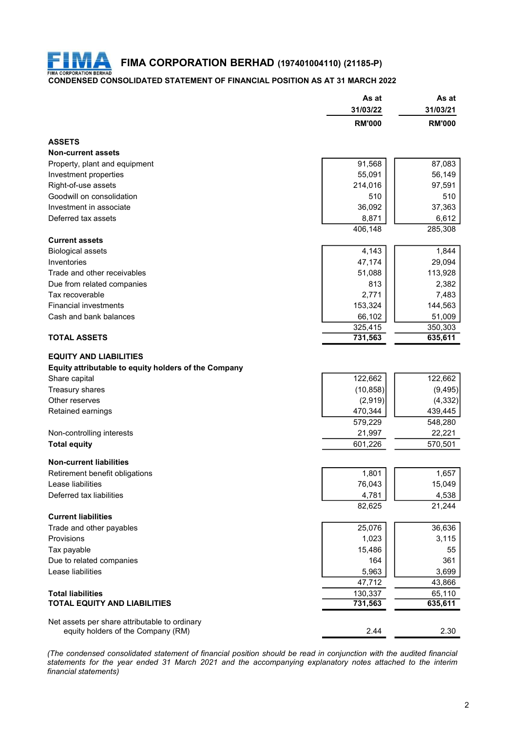

FIMA CORPORATION BERHAD (197401004110) (21185-P)

# CONDENSED CONSOLIDATED STATEMENT OF FINANCIAL POSITION AS AT 31 MARCH 2022

|                                                      | As at         | As at         |
|------------------------------------------------------|---------------|---------------|
|                                                      | 31/03/22      | 31/03/21      |
|                                                      | <b>RM'000</b> | <b>RM'000</b> |
| <b>ASSETS</b>                                        |               |               |
| <b>Non-current assets</b>                            |               |               |
| Property, plant and equipment                        | 91,568        | 87,083        |
| Investment properties                                | 55,091        | 56,149        |
| Right-of-use assets                                  | 214,016       | 97,591        |
| Goodwill on consolidation                            | 510           | 510           |
|                                                      |               |               |
| Investment in associate                              | 36,092        | 37,363        |
| Deferred tax assets                                  | 8,871         | 6,612         |
|                                                      | 406,148       | 285,308       |
| <b>Current assets</b>                                |               |               |
| <b>Biological assets</b>                             | 4,143         | 1,844         |
| Inventories                                          | 47,174        | 29,094        |
| Trade and other receivables                          | 51,088        | 113,928       |
| Due from related companies                           | 813           | 2,382         |
| Tax recoverable                                      | 2,771         | 7,483         |
|                                                      |               |               |
| <b>Financial investments</b>                         | 153,324       | 144,563       |
| Cash and bank balances                               | 66,102        | 51,009        |
|                                                      | 325,415       | 350,303       |
| <b>TOTAL ASSETS</b>                                  | 731,563       | 635,611       |
| <b>EQUITY AND LIABILITIES</b>                        |               |               |
|                                                      |               |               |
| Equity attributable to equity holders of the Company |               |               |
| Share capital                                        | 122,662       | 122,662       |
| Treasury shares                                      | (10, 858)     | (9, 495)      |
| Other reserves                                       | (2,919)       | (4, 332)      |
| Retained earnings                                    | 470,344       | 439,445       |
|                                                      | 579,229       | 548,280       |
|                                                      |               |               |
| Non-controlling interests                            | 21,997        | 22,221        |
| <b>Total equity</b>                                  | 601,226       | 570,501       |
| <b>Non-current liabilities</b>                       |               |               |
|                                                      | 1,801         | 1,657         |
| Retirement benefit obligations                       |               |               |
| Lease liabilities                                    | 76,043        | 15,049        |
| Deferred tax liabilities                             | 4,781         | 4,538         |
|                                                      | 82,625        | 21,244        |
| <b>Current liabilities</b>                           |               |               |
| Trade and other payables                             | 25,076        | 36,636        |
| Provisions                                           | 1,023         | 3,115         |
| Tax payable                                          | 15,486        | 55            |
|                                                      |               |               |
| Due to related companies                             | 164           | 361           |
| Lease liabilities                                    | 5,963         | 3,699         |
|                                                      | 47,712        | 43,866        |
|                                                      | 130,337       | 65,110        |
| <b>Total liabilities</b>                             |               | 635,611       |
| <b>TOTAL EQUITY AND LIABILITIES</b>                  |               |               |
|                                                      | 731,563       |               |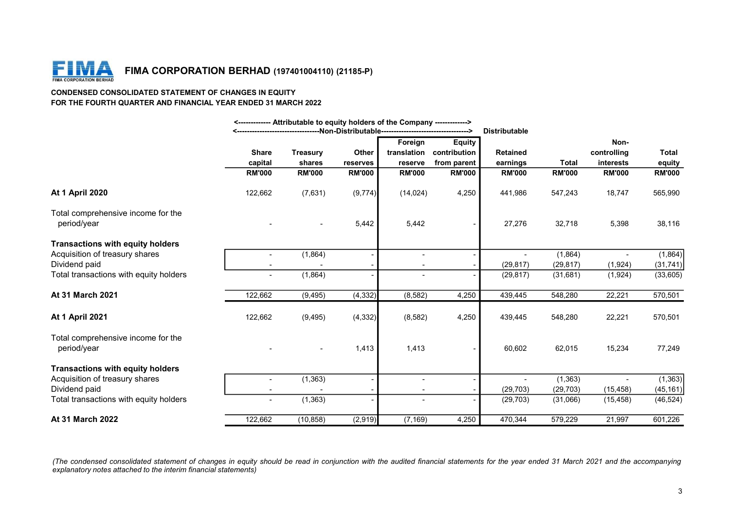

### CONDENSED CONSOLIDATED STATEMENT OF CHANGES IN EQUITY FOR THE FOURTH QUARTER AND FINANCIAL YEAR ENDED 31 MARCH 2022

|                                                                                                                                                                                                                                                         | <------------- Attributable to equity holders of the Company -------------> | <-----------------------------------Non-Distributable---------------------------------> |                   |                          |                                                          | <b>Distributable</b>        |               |                                  |                        |
|---------------------------------------------------------------------------------------------------------------------------------------------------------------------------------------------------------------------------------------------------------|-----------------------------------------------------------------------------|-----------------------------------------------------------------------------------------|-------------------|--------------------------|----------------------------------------------------------|-----------------------------|---------------|----------------------------------|------------------------|
|                                                                                                                                                                                                                                                         | <b>Share</b><br>capital                                                     | <b>Treasury</b><br>shares                                                               | Other<br>reserves | Foreign<br>reserve       | <b>Equity</b><br>translation contribution<br>from parent | <b>Retained</b><br>earnings | <b>Total</b>  | Non-<br>controlling<br>interests | <b>Total</b><br>equity |
|                                                                                                                                                                                                                                                         | <b>RM'000</b>                                                               | <b>RM'000</b>                                                                           | <b>RM'000</b>     | <b>RM'000</b>            | <b>RM'000</b>                                            | <b>RM'000</b>               | <b>RM'000</b> | <b>RM'000</b>                    | <b>RM'000</b>          |
| <b>At 1 April 2020</b>                                                                                                                                                                                                                                  | 122,662                                                                     | (7,631)                                                                                 | (9,774)           | (14, 024)                | 4,250                                                    | 441,986                     | 547,243       | 18,747                           | 565,990                |
| Total comprehensive income for the                                                                                                                                                                                                                      |                                                                             |                                                                                         |                   |                          |                                                          |                             |               |                                  |                        |
| period/year                                                                                                                                                                                                                                             |                                                                             |                                                                                         | 5,442             | 5,442                    |                                                          | 27,276                      | 32,718        | 5,398                            | 38,116                 |
| <b>Transactions with equity holders</b>                                                                                                                                                                                                                 |                                                                             |                                                                                         |                   |                          |                                                          |                             |               |                                  |                        |
| Acquisition of treasury shares                                                                                                                                                                                                                          | $\sim$                                                                      | (1,864)                                                                                 |                   | $\sim$                   |                                                          | $\sim$                      | (1,864)       | $\sim$                           | (1,864)                |
| Dividend paid                                                                                                                                                                                                                                           | $\overline{\phantom{a}}$                                                    |                                                                                         |                   | $\overline{\phantom{a}}$ |                                                          | (29, 817)                   | (29, 817)     | (1,924)                          | (31, 741)              |
| Total transactions with equity holders                                                                                                                                                                                                                  | $\sim$                                                                      | (1,864)                                                                                 |                   | $\blacksquare$           |                                                          | (29, 817)                   | (31,681)      | (1, 924)                         | (33,605)               |
| At 31 March 2021                                                                                                                                                                                                                                        | 122,662                                                                     | (9, 495)                                                                                | (4, 332)          | (8, 582)                 | 4,250                                                    | 439,445                     | 548,280       | 22,221                           | 570,501                |
| <b>At 1 April 2021</b>                                                                                                                                                                                                                                  | 122,662                                                                     | (9, 495)                                                                                | (4, 332)          | (8, 582)                 | 4,250                                                    | 439,445                     | 548,280       | 22,221                           | 570,501                |
| Total comprehensive income for the<br>period/year                                                                                                                                                                                                       |                                                                             | $\overline{\phantom{0}}$                                                                | 1,413             | 1,413                    |                                                          | 60,602                      | 62,015        | 15,234                           | 77,249                 |
| <b>Transactions with equity holders</b>                                                                                                                                                                                                                 |                                                                             |                                                                                         |                   |                          |                                                          |                             |               |                                  |                        |
| Acquisition of treasury shares                                                                                                                                                                                                                          | $\overline{\phantom{a}}$                                                    | (1, 363)                                                                                |                   | $\overline{\phantom{a}}$ |                                                          | $\overline{\phantom{a}}$    | (1, 363)      | $\sim$                           | (1,363)                |
| Dividend paid                                                                                                                                                                                                                                           | $\sim$                                                                      |                                                                                         |                   | $\sim$                   |                                                          | (29, 703)                   | (29, 703)     | (15, 458)                        | (45, 161)              |
| Total transactions with equity holders                                                                                                                                                                                                                  | $\sim$                                                                      | (1, 363)                                                                                |                   |                          |                                                          | (29, 703)                   | (31,066)      | (15, 458)                        | (46, 524)              |
| At 31 March 2022                                                                                                                                                                                                                                        | 122,662                                                                     | (10, 858)                                                                               | (2,919)           | (7, 169)                 | 4,250                                                    | 470,344                     | 579,229       | 21,997                           | 601,226                |
| (The condensed consolidated statement of changes in equity should be read in conjunction with the audited financial statements for the year ended 31 March 2021 and the accompanying<br>explanatory notes attached to the interim financial statements) |                                                                             |                                                                                         |                   |                          |                                                          |                             |               |                                  | 3                      |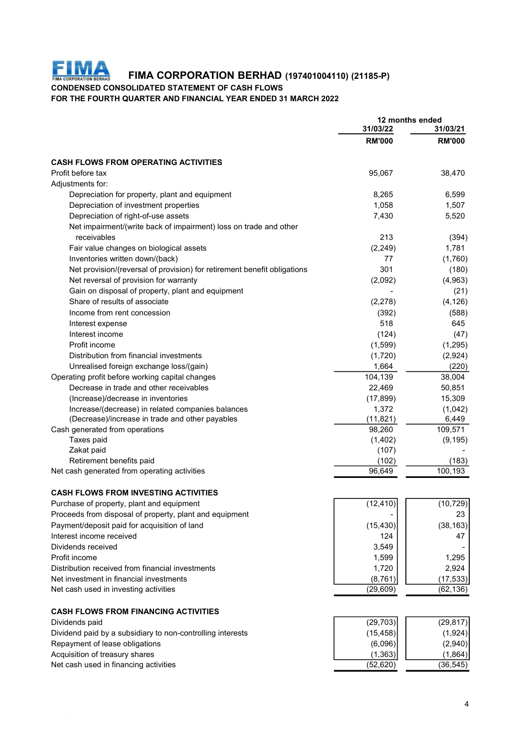

FIMA CORPORATION BERHAD (197401004110) (21185-P)

CONDENSED CONSOLIDATED STATEMENT OF CASH FLOWS

FOR THE FOURTH QUARTER AND FINANCIAL YEAR ENDED 31 MARCH 2022

|                                                                          | 12 months ended           |                           |  |
|--------------------------------------------------------------------------|---------------------------|---------------------------|--|
|                                                                          | 31/03/22<br><b>RM'000</b> | 31/03/21<br><b>RM'000</b> |  |
|                                                                          |                           |                           |  |
| <b>CASH FLOWS FROM OPERATING ACTIVITIES</b>                              |                           |                           |  |
| Profit before tax                                                        | 95,067                    | 38,470                    |  |
| Adjustments for:                                                         |                           |                           |  |
| Depreciation for property, plant and equipment                           | 8,265                     | 6,599                     |  |
| Depreciation of investment properties                                    | 1,058                     | 1,507                     |  |
| Depreciation of right-of-use assets                                      | 7,430                     | 5,520                     |  |
| Net impairment/(write back of impairment) loss on trade and other        |                           |                           |  |
| receivables                                                              | 213                       | (394)                     |  |
| Fair value changes on biological assets                                  | (2, 249)                  | 1,781                     |  |
| Inventories written down/(back)                                          | 77                        | (1,760)                   |  |
| Net provision/(reversal of provision) for retirement benefit obligations | 301                       | (180)                     |  |
| Net reversal of provision for warranty                                   | (2,092)                   | (4,963)                   |  |
| Gain on disposal of property, plant and equipment                        |                           | (21)                      |  |
| Share of results of associate                                            | (2,278)                   | (4, 126)                  |  |
| Income from rent concession                                              | (392)                     | (588)                     |  |
| Interest expense                                                         | 518                       | 645                       |  |
| Interest income                                                          | (124)                     | (47)                      |  |
| Profit income                                                            | (1,599)                   | (1,295)                   |  |
| Distribution from financial investments                                  | (1,720)                   | (2,924)                   |  |
| Unrealised foreign exchange loss/(gain)                                  | 1,664                     | (220)                     |  |
| Operating profit before working capital changes                          | 104,139                   | 38,004                    |  |
| Decrease in trade and other receivables                                  | 22,469                    | 50,851                    |  |
| (Increase)/decrease in inventories                                       | (17, 899)                 | 15,309                    |  |
| Increase/(decrease) in related companies balances                        | 1,372                     | (1,042)                   |  |
| (Decrease)/increase in trade and other payables                          | (11, 821)                 | 6,449                     |  |
| Cash generated from operations                                           | 98,260                    | 109,571                   |  |
| Taxes paid                                                               | (1, 402)                  | (9, 195)                  |  |
| Zakat paid                                                               | (107)                     |                           |  |
| Retirement benefits paid                                                 | (102)                     | (183)                     |  |
| Net cash generated from operating activities                             | 96,649                    | 100,193                   |  |
| <b>CASH FLOWS FROM INVESTING ACTIVITIES</b>                              |                           |                           |  |
| Purchase of property, plant and equipment                                | (12, 410)                 | (10, 729)                 |  |
| Proceeds from disposal of property, plant and equipment                  |                           | 23                        |  |
| Payment/deposit paid for acquisition of land                             | (15, 430)                 | (38, 163)                 |  |
| Interest income received                                                 | 124                       | 47                        |  |
| Dividends received                                                       | 3,549                     |                           |  |
| Profit income                                                            | 1,599                     | 1,295                     |  |
| Distribution received from financial investments                         | 1,720                     | 2,924                     |  |
| Net investment in financial investments                                  | (8, 761)                  | (17, 533)                 |  |
| Net cash used in investing activities                                    | (29, 609)                 | (62, 136)                 |  |
| <b>CASH FLOWS FROM FINANCING ACTIVITIES</b>                              |                           |                           |  |
| Dividends paid                                                           | (29, 703)                 | (29, 817)                 |  |
| Dividend paid by a subsidiary to non-controlling interests               | (15, 458)                 | (1,924)                   |  |
| Repayment of lease obligations                                           | (6,096)                   | (2,940)                   |  |
| Acquisition of treasury shares                                           | (1, 363)                  | (1,864)                   |  |
| Net cash used in financing activities                                    | (52, 620)                 | (36, 545)                 |  |
|                                                                          |                           |                           |  |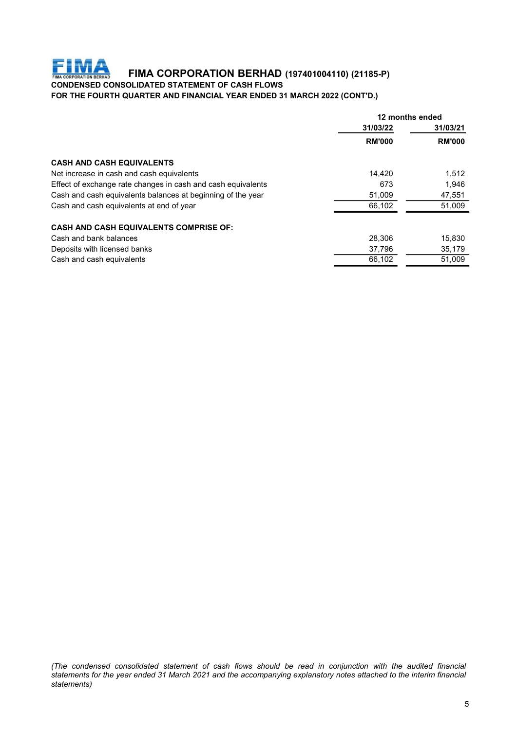# FIMA FIMA CORPORATION BERHAD (197401004110) (21185-P)

# CONDENSED CONSOLIDATED STATEMENT OF CASH FLOWS

FOR THE FOURTH QUARTER AND FINANCIAL YEAR ENDED 31 MARCH 2022 (CONT'D.)

| 31/03/22<br>31/03/21<br><b>RM'000</b><br><b>RM'000</b><br>1,512<br>14.420<br>1.946<br>673<br>51,009<br>47,551<br>66.102<br>51,009<br>28,306<br>15,830<br>35,179<br>37,796<br>66.102<br>51,009 |                                                              | 12 months ended |  |  |
|-----------------------------------------------------------------------------------------------------------------------------------------------------------------------------------------------|--------------------------------------------------------------|-----------------|--|--|
|                                                                                                                                                                                               |                                                              |                 |  |  |
|                                                                                                                                                                                               |                                                              |                 |  |  |
|                                                                                                                                                                                               | <b>CASH AND CASH EQUIVALENTS</b>                             |                 |  |  |
|                                                                                                                                                                                               | Net increase in cash and cash equivalents                    |                 |  |  |
|                                                                                                                                                                                               | Effect of exchange rate changes in cash and cash equivalents |                 |  |  |
|                                                                                                                                                                                               | Cash and cash equivalents balances at beginning of the year  |                 |  |  |
|                                                                                                                                                                                               | Cash and cash equivalents at end of year                     |                 |  |  |
|                                                                                                                                                                                               | <b>CASH AND CASH EQUIVALENTS COMPRISE OF:</b>                |                 |  |  |
|                                                                                                                                                                                               | Cash and bank balances                                       |                 |  |  |
|                                                                                                                                                                                               | Deposits with licensed banks                                 |                 |  |  |
|                                                                                                                                                                                               | Cash and cash equivalents                                    |                 |  |  |

(The condensed consolidated statement of cash flows should be read in conjunction with the audited financial<br>statements for the year ended 31 March 2021 and the accompanying explanatory notes attached to the interim financ The condensed consolidated statement of cash flows should be read in conjunction with the audited financial statements for the year ended 31 March 2021 and the accompanying explanatory notes attached to the interim financi statements)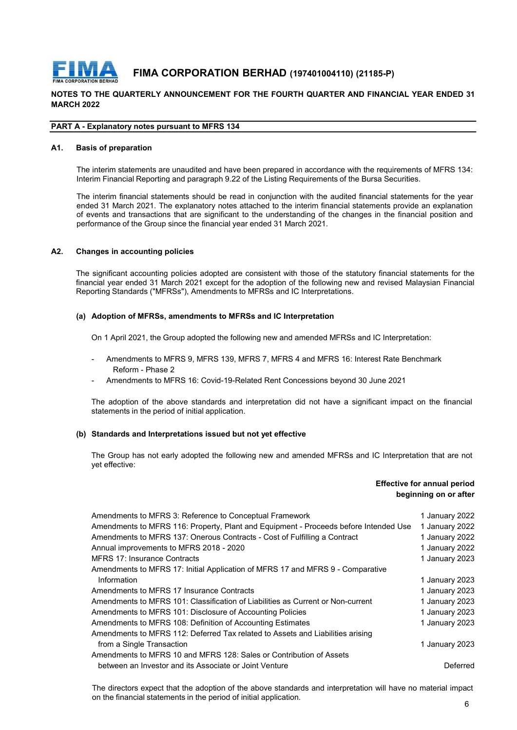

# FIMA CORPORATION BERHAD (197401004110) (21185-P)

# NOTES TO THE QUARTERLY ANNOUNCEMENT FOR THE FOURTH QUARTER AND FINANCIAL YEAR ENDED 31 MARCH 2022

#### PART A - Explanatory notes pursuant to MFRS 134

#### A1. Basis of preparation

THE CORPORATION BERHAD (197401004110) (21185-P)<br>
TO THE QUARTERLY ANNOUNCEMENT FOR THE FOURTH QUARTER AND FINANCIAL YEAR ENDED 31<br>
The interim statements are unaudited and have been prepared in accordance with the requirem **INTEREM ARE CORPORATION BERHAD** (197401004110) (21185-P)<br>
IT TO THE QUARTERLY ANNOUNCEMENT FOR THE FOURTH QUARTER AND FINANCIAL YEAR ENDED 31<br>
2022<br>
A - Explanatory notes pursuant to MFRS 134<br>
Basis of preparation<br>
The in THE QUARTERLY ANNOUNCEMENT FOR THE FOURTH QUARTER AND FINANCIAL YEAR ENDED 31<br>
TO THE QUARTERLY ANNOUNCEMENT FOR THE FOURTH QUARTER AND FINANCIAL YEAR ENDED 31<br>
THE ALSO FINANCIAL STATES IS A CONSIDENT ON THE STATE OF THE **EMA CORPORATION BERHAD** (197401004110) (21185-P)<br>TO THE QUARTERLY ANNOUNCEMENT FOR THE FOURTH QUARTER AND FINANCIAL YEAR ENDED 31<br>12022<br>- Explanatory notes pursuant to MFRS 134<br>Basis of preparation<br>The interim financial s **EVERT CORPORATION BERHAD** (197401004110) (21185-P)<br>
TO THE QUARTERLY ANNOUNCEMENT FOR THE FOURTH QUARTER AND FINANCIAL YEAR ENDED 31<br>
THE ATTE ARE UNITS ARE DURING TO THE STAND TO THE COURT OF THE STAND OF THE STAND OF TH **FIMA CORPORATION BERHAD** (197401004110) (21185-P)<br>
TO THE QUARTERLY ANNOUNCEMENT FOR THE FOURTH QUARTER AND FINANCIAL YEAR ENDED 31<br>
12022<br>
A - Explanatory notes pursuant to MFRS 134<br>
Basis of proparation<br>
The interim is The significant accounting policies adopted are consistent with those of the statutory financial velocity and  $\approx$  adoption of MFRS 134.<br>The intermediately are unaudided and have been prepared in accordance with the requir FIMA CORPORATION BERHAD (197401004110) (21185-P)<br>
TO THE QUARTERLY ANNOUNCEMENT FOR THE FOURTH QUARTER AND FINANCIAL YEAR ENDED 31<br>
4. Explanatory notes pursuant to MFRS 134<br>
Basis of preparation<br>
The interim statements ar **EXPECTED THAN CORPORATION BERHAD (197401004110) (21185-P)**<br>
TO THE QUARTERLY ANNOUNCEMENT FOR THE FOURTH QUARTER AND FINANCIAL YEAR ENDED 31<br>
A-Explanatory notes pursuant to MFRS 134<br>
Basis of proparation<br>
The interim sta is of preparation<br>
interim statements are unaudited and have been prepared in accordance with the requirements of MFRS 134:<br>
interim financial Reporting and paragraph 9.22 of the Listing Requirements of the Bursa Securitie im Financial Reporting and paragraph 9.22 of the Listing Requirements of the Bursa Securities.<br>
Interim financial statements should be read in conjunction with the audited financial statements provide an explanation<br>
and 3 interim financial statements should be read in conjunction with the audited financial statements for the year<br>at 31 March 2021. The explanatory notes attached to the interim financial statements provide an explanation<br>vent

#### A2. Changes in accounting policies

mges in accounting policies<br>
significant accounting policies<br>
adopted are consistent with those of the statutory financial statements for the<br>
civila year ended 31 March 2021 except for the adoption of the following new an riginstructured providing policies<br>significant accounting policies<br>significant accounting policies adopted are consistent with those of the statutory fincial<br>year ended 31 March 2021 except for the adoption of the followin

#### (a) Adoption of MFRSs, amendments to MFRSs and IC Interpretation

- Amendments to MFRS 9, MFRS 139, MFRS 7, MFRS 4 and MFRS 16: Interest Rate Benchmark Reform - Phase 2
- Amendments to MFRS 16: Covid-19-Related Rent Concessions beyond 30 June 2021

#### (b) Standards and Interpretations issued but not yet effective

# Effective for annual period beginning on or after

| yet effective:                                                                                                                                                                     |                                                             |
|------------------------------------------------------------------------------------------------------------------------------------------------------------------------------------|-------------------------------------------------------------|
|                                                                                                                                                                                    | <b>Effective for annual period</b><br>beginning on or after |
| Amendments to MFRS 3: Reference to Conceptual Framework                                                                                                                            | 1 January 2022                                              |
| Amendments to MFRS 116: Property, Plant and Equipment - Proceeds before Intended Use                                                                                               | 1 January 2022                                              |
| Amendments to MFRS 137: Onerous Contracts - Cost of Fulfilling a Contract                                                                                                          | 1 January 2022                                              |
| Annual improvements to MFRS 2018 - 2020                                                                                                                                            | 1 January 2022                                              |
| <b>MFRS 17: Insurance Contracts</b>                                                                                                                                                | 1 January 2023                                              |
| Amendments to MFRS 17: Initial Application of MFRS 17 and MFRS 9 - Comparative                                                                                                     |                                                             |
| Information                                                                                                                                                                        | 1 January 2023                                              |
| Amendments to MFRS 17 Insurance Contracts                                                                                                                                          | 1 January 2023                                              |
| Amendments to MFRS 101: Classification of Liabilities as Current or Non-current                                                                                                    | 1 January 2023                                              |
| Amendments to MFRS 101: Disclosure of Accounting Policies                                                                                                                          | 1 January 2023                                              |
| Amendments to MFRS 108: Definition of Accounting Estimates                                                                                                                         | 1 January 2023                                              |
| Amendments to MFRS 112: Deferred Tax related to Assets and Liabilities arising                                                                                                     |                                                             |
| from a Single Transaction                                                                                                                                                          | 1 January 2023                                              |
| Amendments to MFRS 10 and MFRS 128: Sales or Contribution of Assets                                                                                                                |                                                             |
| between an Investor and its Associate or Joint Venture                                                                                                                             | Deferred                                                    |
| The directors expect that the adoption of the above standards and interpretation will have no material impact<br>on the financial statements in the period of initial application. |                                                             |
|                                                                                                                                                                                    | 6                                                           |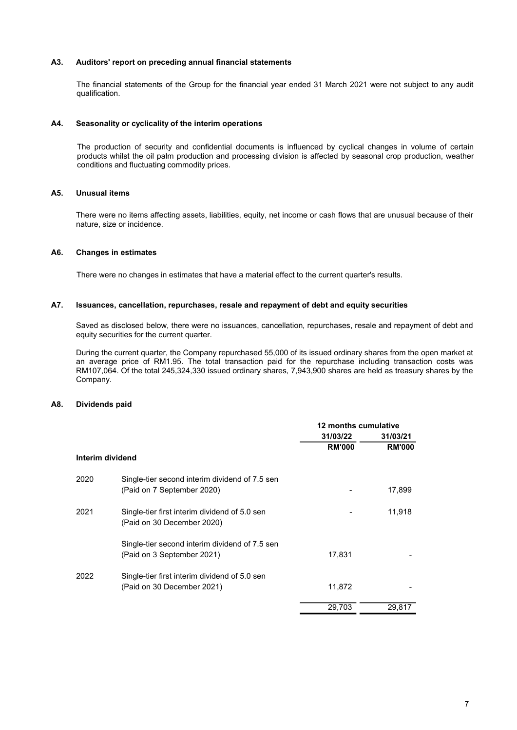#### A3. Auditors' report on preceding annual financial statements

Auditors' report on preceding annual financial statements<br>The financial statements of the Group for the financial year ended 31 March 2021 were not subject to any audit<br>Seasonality or cyclicality of the interim operations qualification.

#### A4. Seasonality or cyclicality of the interim operations

Auditors' report on preceding annual financial statements<br>The financial statements of the Group for the financial year ended 31 March 2021 were not subject to any audit<br>qualification.<br>Seasonality or cyclicality of the inte Auditors' report on preceding annual financial statements<br>The financial statements of the Group for the financial year ended 31 March 2021 were not subject to any audit<br>Seasonality or cyclicality of the interim operations<br> Auditors' report on preceding annual financial statements<br>The financial statements of the Group for the financial year ended 31 March 2021 were not subject to any audit<br>Qualification.<br>Seasonality or cyclicality of the inte Auditors' report on preceding annual financial statements<br>The financial statements of the Group for the financial year ended 31 March 2021 were not subject to any audit<br>qualification.<br>Seasonality or cyclicality of the inte Auditors' report on preceding annual financial statements<br>The financial statements of the Group for the financial year ended 31 March 2021 were not su<br>qualification.<br>Seasonality or cyclicality of the interim operations<br>The Auditors' report on preceding annual financial statements<br>The financial statements of the Group for the financial year ended 31 March 2021 were not subject to any audit<br>qualification.<br>Seasonality or cyclicality of the inte

#### A5. Unusual items

#### A6. Changes in estimates

#### A7. Issuances, cancellation, repurchases, resale and repayment of debt and equity securities

Seasonality or cyclicality of the interlm operations<br>The production of security and confidential documents is influenced by cyclical changes in volume of certain<br>products whilst the cil paim production and processing divis Seasonality or cyclicality of the interim operations<br>The production of security and confidential documents is influenced by cyclical changes in volume of certa<br>products whilst the oil palm production and processing divisio Cocoordinary of sponsority of the metallic potential documents is influenced by cyclical changes in volume of certain<br>The products whilst the circle production and proferential documents is influenced by seasonal crop prod The production of security and confidential documents is influenced by cyclical changes in volume of certain products whilst the ci plain production and processing division is affected by seasonal crop production, weather The production of seculity and confidential documents is influenced by cyclical changes in volune of certain<br>products whilst the oil palm production and processing division is affected by seasonal crop production, weather<br> Company.

#### A8. Dividends paid

|                  |                                                | 12 months cumulative |               |
|------------------|------------------------------------------------|----------------------|---------------|
|                  |                                                | 31/03/22             | 31/03/21      |
|                  |                                                | <b>RM'000</b>        | <b>RM'000</b> |
| Interim dividend |                                                |                      |               |
| 2020             | Single-tier second interim dividend of 7.5 sen |                      |               |
|                  | (Paid on 7 September 2020)                     |                      | 17,899        |
| 2021             | Single-tier first interim dividend of 5.0 sen  |                      | 11,918        |
|                  | (Paid on 30 December 2020)                     |                      |               |
|                  | Single-tier second interim dividend of 7.5 sen |                      |               |
|                  | (Paid on 3 September 2021)                     | 17,831               |               |
| 2022             | Single-tier first interim dividend of 5.0 sen  |                      |               |
|                  | (Paid on 30 December 2021)                     | 11,872               |               |
|                  |                                                | 29,703               | 29,817        |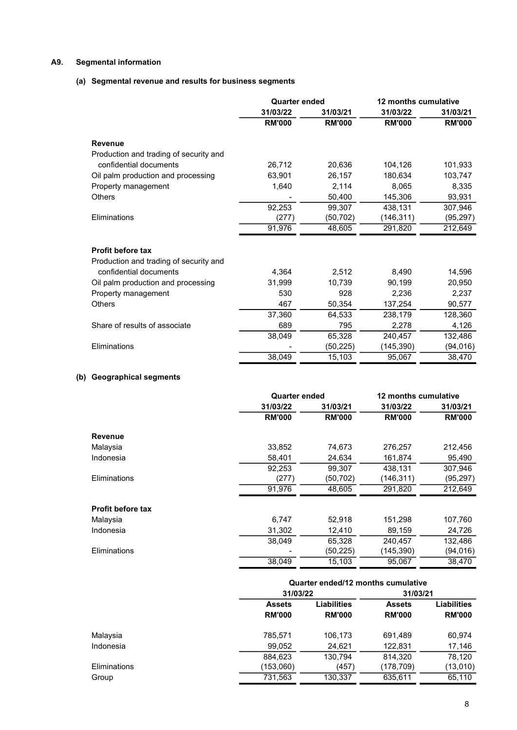# A9. Segmental information

# (a) Segmental revenue and results for business segments

|                                        | <b>Quarter ended</b> |               | 12 months cumulative |               |
|----------------------------------------|----------------------|---------------|----------------------|---------------|
|                                        | 31/03/22             | 31/03/21      | 31/03/22             | 31/03/21      |
|                                        | <b>RM'000</b>        | <b>RM'000</b> | <b>RM'000</b>        | <b>RM'000</b> |
| <b>Revenue</b>                         |                      |               |                      |               |
| Production and trading of security and |                      |               |                      |               |
| confidential documents                 | 26,712               | 20,636        | 104,126              | 101,933       |
| Oil palm production and processing     | 63,901               | 26,157        | 180,634              | 103,747       |
| Property management                    | 1,640                | 2,114         | 8,065                | 8,335         |
| <b>Others</b>                          |                      | 50,400        | 145,306              | 93,931        |
|                                        | 92,253               | 99,307        | 438,131              | 307,946       |
| Eliminations                           | (277)                | (50,702)      | (146,311)            | (95, 297)     |
|                                        | 91,976               | 48,605        | 291,820              | 212,649       |
| <b>Profit before tax</b>               |                      |               |                      |               |
| Production and trading of security and |                      |               |                      |               |
| confidential documents                 | 4.364                | 2,512         | 8,490                | 14,596        |
| Oil palm production and processing     | 31.999               | 10,739        | 90,199               | 20,950        |
| Property management                    | 530                  | 928           | 2,236                | 2,237         |
| <b>Others</b>                          | 467                  | 50,354        | 137,254              | 90,577        |
|                                        | 37,360               | 64,533        | 238,179              | 128,360       |
| Share of results of associate          | 689                  | 795           | 2,278                | 4,126         |
|                                        | 38,049               | 65,328        | 240,457              | 132,486       |
| Eliminations                           |                      | (50, 225)     | (145, 390)           | (94, 016)     |
|                                        | 38,049               | 15,103        | 95,067               | 38,470        |

# (b) Geographical segments

|                          | <b>Quarter ended</b> | 12 months cumulative |               |               |
|--------------------------|----------------------|----------------------|---------------|---------------|
|                          | 31/03/22             | 31/03/21             | 31/03/22      | 31/03/21      |
|                          | <b>RM'000</b>        | <b>RM'000</b>        | <b>RM'000</b> | <b>RM'000</b> |
| <b>Revenue</b>           |                      |                      |               |               |
| Malaysia                 | 33,852               | 74,673               | 276,257       | 212,456       |
| Indonesia                | 58,401               | 24,634               | 161,874       | 95,490        |
|                          | 92,253               | 99,307               | 438,131       | 307,946       |
| Eliminations             | (277)                | (50,702)             | (146,311)     | (95, 297)     |
|                          | 91,976               | 48,605               | 291,820       | 212,649       |
| <b>Profit before tax</b> |                      |                      |               |               |
| Malaysia                 | 6,747                | 52,918               | 151,298       | 107,760       |
| Indonesia                | 31,302               | 12,410               | 89,159        | 24,726        |
|                          | 38,049               | 65,328               | 240,457       | 132,486       |
| Eliminations             |                      | (50, 225)            | (145,390)     | (94, 016)     |
|                          | 38.049               | 15,103               | 95,067        | 38,470        |

|              | Quarter ended/12 months cumulative  |               |               |                    |  |  |
|--------------|-------------------------------------|---------------|---------------|--------------------|--|--|
|              | 31/03/22                            |               | 31/03/21      |                    |  |  |
|              | <b>Liabilities</b><br><b>Assets</b> |               | <b>Assets</b> | <b>Liabilities</b> |  |  |
|              | <b>RM'000</b>                       | <b>RM'000</b> | <b>RM'000</b> | <b>RM'000</b>      |  |  |
| Malaysia     | 785,571                             | 106,173       | 691,489       | 60,974             |  |  |
| Indonesia    | 99,052                              | 24,621        | 122,831       | 17,146             |  |  |
|              | 884,623                             | 130,794       | 814.320       | 78.120             |  |  |
| Eliminations | (153,060)                           | (457)         | (178,709)     | (13,010)           |  |  |
| Group        | 731,563                             | 130,337       | 635,611       | 65.110             |  |  |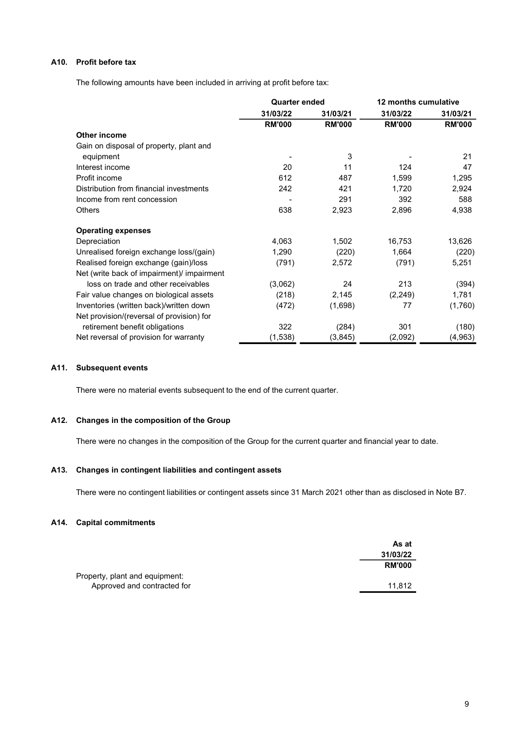# A10. Profit before tax

The following amounts have been included in arriving at profit before tax:

|                                                                                                                   | <b>Quarter ended</b>     |               | 12 months cumulative |               |
|-------------------------------------------------------------------------------------------------------------------|--------------------------|---------------|----------------------|---------------|
|                                                                                                                   | 31/03/21<br>31/03/22     |               | 31/03/22             | 31/03/21      |
|                                                                                                                   | <b>RM'000</b>            | <b>RM'000</b> | <b>RM'000</b>        | <b>RM'000</b> |
| <b>Other income</b>                                                                                               |                          |               |                      |               |
| Gain on disposal of property, plant and                                                                           |                          |               |                      |               |
| equipment                                                                                                         | $\overline{\phantom{a}}$ | 3             |                      | 21            |
| Interest income                                                                                                   | 20                       | 11            | 124                  | 47            |
| Profit income                                                                                                     | 612                      | 487           | 1,599                | 1,295         |
| Distribution from financial investments                                                                           | 242                      | 421           | 1,720                | 2,924         |
| Income from rent concession                                                                                       | $\overline{\phantom{a}}$ | 291           | 392                  | 588           |
| Others                                                                                                            | 638                      | 2,923         | 2,896                | 4,938         |
| <b>Operating expenses</b>                                                                                         |                          |               |                      |               |
| Depreciation                                                                                                      | 4,063                    | 1,502         | 16,753               | 13,626        |
| Unrealised foreign exchange loss/(gain)                                                                           | 1,290                    | (220)         | 1,664                | (220)         |
| Realised foreign exchange (gain)/loss<br>Net (write back of impairment)/ impairment                               | (791)                    | 2,572         | (791)                | 5,251         |
| loss on trade and other receivables                                                                               | (3,062)                  | 24            | 213                  | (394)         |
| Fair value changes on biological assets                                                                           | (218)                    | 2,145         | (2, 249)             | 1,781         |
| Inventories (written back)/written down                                                                           | (472)                    | (1,698)       | 77                   | (1,760)       |
| Net provision/(reversal of provision) for                                                                         |                          |               |                      |               |
| retirement benefit obligations                                                                                    | 322                      | (284)         | 301                  | (180)         |
| Net reversal of provision for warranty                                                                            | (1,538)                  | (3,845)       | (2,092)              | (4,963)       |
|                                                                                                                   |                          |               |                      |               |
| <b>Subsequent events</b>                                                                                          |                          |               |                      |               |
| There were no material events subsequent to the end of the current quarter.                                       |                          |               |                      |               |
| Changes in the composition of the Group                                                                           |                          |               |                      |               |
| There were no changes in the composition of the Group for the current quarter and financial year to date.         |                          |               |                      |               |
|                                                                                                                   |                          |               |                      |               |
| Changes in contingent liabilities and contingent assets                                                           |                          |               |                      |               |
| There were no contingent liabilities or contingent assets since 31 March 2021 other than as disclosed in Note B7. |                          |               |                      |               |
| <b>Capital commitments</b>                                                                                        |                          |               |                      |               |
|                                                                                                                   |                          |               |                      |               |
|                                                                                                                   |                          |               | As at                |               |

#### A11. Subsequent events

#### A12. Changes in the composition of the Group

# A13. Changes in contingent liabilities and contingent assets

#### A14. Capital commitments

|                                | As at         |
|--------------------------------|---------------|
|                                | 31/03/22      |
|                                | <b>RM'000</b> |
| Property, plant and equipment: |               |
| Approved and contracted for    | 11.812        |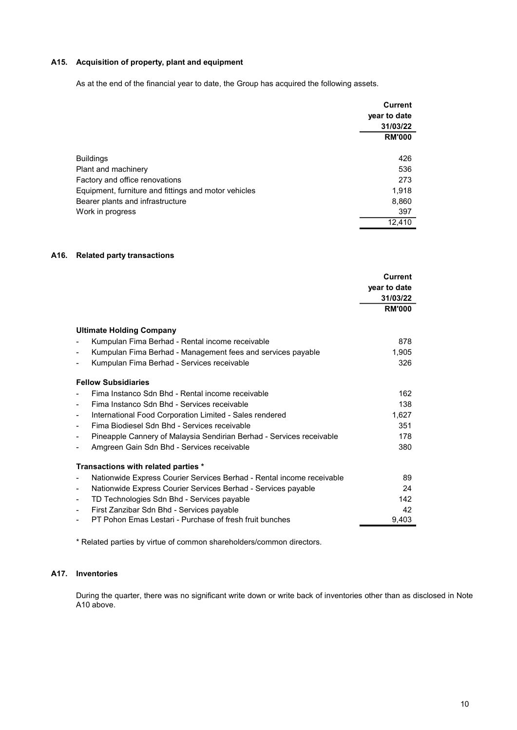# A15. Acquisition of property, plant and equipment

As at the end of the financial year to date, the Group has acquired the following assets.

|                                                      | <b>Current</b><br>year to date |
|------------------------------------------------------|--------------------------------|
|                                                      | 31/03/22                       |
|                                                      | <b>RM'000</b>                  |
| <b>Buildings</b>                                     | 426                            |
| Plant and machinery                                  | 536                            |
| Factory and office renovations                       | 273                            |
| Equipment, furniture and fittings and motor vehicles | 1,918                          |
| Bearer plants and infrastructure                     | 8,860                          |
| Work in progress                                     | 397                            |
|                                                      | 12.410                         |

#### A16. Related party transactions

|                                                                                                                                    | <b>Current</b><br>year to date |  |
|------------------------------------------------------------------------------------------------------------------------------------|--------------------------------|--|
|                                                                                                                                    | 31/03/22                       |  |
|                                                                                                                                    | <b>RM'000</b>                  |  |
|                                                                                                                                    |                                |  |
| <b>Ultimate Holding Company</b>                                                                                                    |                                |  |
| Kumpulan Fima Berhad - Rental income receivable<br>$\overline{\phantom{a}}$                                                        | 878                            |  |
| Kumpulan Fima Berhad - Management fees and services payable                                                                        | 1,905                          |  |
| Kumpulan Fima Berhad - Services receivable                                                                                         | 326                            |  |
| <b>Fellow Subsidiaries</b>                                                                                                         |                                |  |
| Fima Instanco Sdn Bhd - Rental income receivable<br>$\overline{\phantom{0}}$                                                       | 162                            |  |
| Fima Instanco Sdn Bhd - Services receivable<br>$\blacksquare$                                                                      | 138                            |  |
| International Food Corporation Limited - Sales rendered<br>$\blacksquare$                                                          | 1,627                          |  |
| Fima Biodiesel Sdn Bhd - Services receivable<br>$\blacksquare$                                                                     | 351                            |  |
| Pineapple Cannery of Malaysia Sendirian Berhad - Services receivable                                                               | 178                            |  |
| Amgreen Gain Sdn Bhd - Services receivable                                                                                         | 380                            |  |
| Transactions with related parties *                                                                                                |                                |  |
| Nationwide Express Courier Services Berhad - Rental income receivable<br>$\blacksquare$                                            | 89                             |  |
| Nationwide Express Courier Services Berhad - Services payable<br>$\overline{\phantom{a}}$                                          | 24                             |  |
| TD Technologies Sdn Bhd - Services payable<br>$\overline{\phantom{a}}$                                                             | 142                            |  |
| First Zanzibar Sdn Bhd - Services payable                                                                                          | 42                             |  |
| PT Pohon Emas Lestari - Purchase of fresh fruit bunches                                                                            | 9,403                          |  |
| * Related parties by virtue of common shareholders/common directors.                                                               |                                |  |
| <b>Inventories</b>                                                                                                                 |                                |  |
| During the quarter, there was no significant write down or write back of inventories other than as disclosed in Note<br>A10 above. |                                |  |
|                                                                                                                                    |                                |  |
|                                                                                                                                    |                                |  |
|                                                                                                                                    |                                |  |
|                                                                                                                                    |                                |  |

# A17. Inventories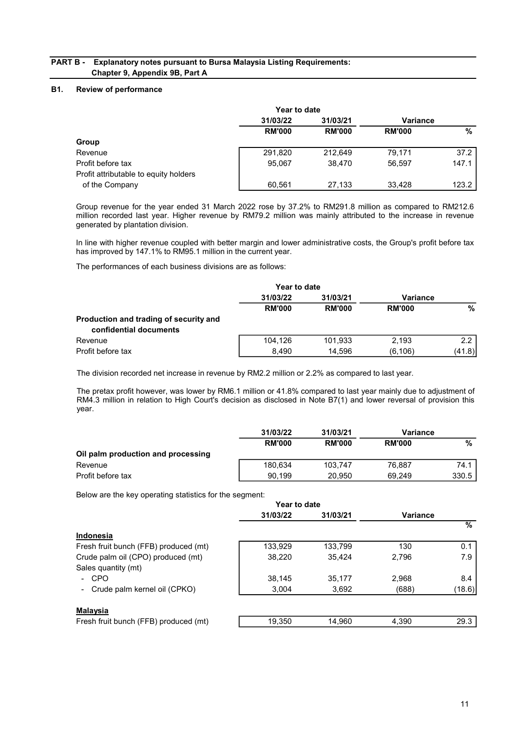# PART B - Explanatory notes pursuant to Bursa Malaysia Listing Requirements: Chapter 9, Appendix 9B, Part A

# B1. Review of performance

| <b>Explanatory notes pursuant to Bursa Malaysia Listing Requirements:</b><br>Chapter 9, Appendix 9B, Part A |
|-------------------------------------------------------------------------------------------------------------|
| в.                                                                                                          |
|                                                                                                             |
|                                                                                                             |
| <b>Review of performance</b>                                                                                |
| Year to date                                                                                                |
| 31/03/22<br>31/03/21<br><b>Variance</b>                                                                     |
| $\frac{9}{6}$<br><b>RM'000</b><br><b>RM'000</b><br><b>RM'000</b>                                            |
| Group                                                                                                       |
| Revenue<br>291,820<br>79,171<br>37.2<br>212,649                                                             |
| Profit before tax<br>95,067<br>38,470<br>56,597<br>147.1                                                    |
| Profit attributable to equity holders                                                                       |
| 123.2<br>27,133<br>33,428<br>of the Company<br>60,561                                                       |

| 37.2<br>291,820<br>212,649<br>79,171<br>Revenue<br>Profit before tax<br>95,067<br>38,470<br>56,597<br>147.1<br>Profit attributable to equity holders<br>of the Company<br>60,561<br>27,133<br>33,428<br>123.2<br>Group revenue for the year ended 31 March 2022 rose by 37.2% to RM291.8 million as compared to RM212.6<br>million recorded last year. Higher revenue by RM79.2 million was mainly attributed to the increase in revenue<br>generated by plantation division.<br>In line with higher revenue coupled with better margin and lower administrative costs, the Group's profit before tax<br>has improved by 147.1% to RM95.1 million in the current year.<br>The performances of each business divisions are as follows: |
|---------------------------------------------------------------------------------------------------------------------------------------------------------------------------------------------------------------------------------------------------------------------------------------------------------------------------------------------------------------------------------------------------------------------------------------------------------------------------------------------------------------------------------------------------------------------------------------------------------------------------------------------------------------------------------------------------------------------------------------|
|                                                                                                                                                                                                                                                                                                                                                                                                                                                                                                                                                                                                                                                                                                                                       |
|                                                                                                                                                                                                                                                                                                                                                                                                                                                                                                                                                                                                                                                                                                                                       |
|                                                                                                                                                                                                                                                                                                                                                                                                                                                                                                                                                                                                                                                                                                                                       |
|                                                                                                                                                                                                                                                                                                                                                                                                                                                                                                                                                                                                                                                                                                                                       |
|                                                                                                                                                                                                                                                                                                                                                                                                                                                                                                                                                                                                                                                                                                                                       |
|                                                                                                                                                                                                                                                                                                                                                                                                                                                                                                                                                                                                                                                                                                                                       |
|                                                                                                                                                                                                                                                                                                                                                                                                                                                                                                                                                                                                                                                                                                                                       |
|                                                                                                                                                                                                                                                                                                                                                                                                                                                                                                                                                                                                                                                                                                                                       |
| Year to date                                                                                                                                                                                                                                                                                                                                                                                                                                                                                                                                                                                                                                                                                                                          |
| 31/03/22<br>31/03/21<br><b>Variance</b>                                                                                                                                                                                                                                                                                                                                                                                                                                                                                                                                                                                                                                                                                               |
| $\frac{9}{6}$<br><b>RM'000</b><br><b>RM'000</b><br><b>RM'000</b>                                                                                                                                                                                                                                                                                                                                                                                                                                                                                                                                                                                                                                                                      |
| Production and trading of security and<br>confidential documents                                                                                                                                                                                                                                                                                                                                                                                                                                                                                                                                                                                                                                                                      |
| 2.2<br>104,126<br>101,933<br>2,193<br>Revenue                                                                                                                                                                                                                                                                                                                                                                                                                                                                                                                                                                                                                                                                                         |
| Profit before tax<br>8,490<br>14,596<br>(6, 106)<br>(41.8)                                                                                                                                                                                                                                                                                                                                                                                                                                                                                                                                                                                                                                                                            |

|                                    | 31/03/22      | 31/03/21      |               | Variance |
|------------------------------------|---------------|---------------|---------------|----------|
|                                    | <b>RM'000</b> | <b>RM'000</b> | <b>RM'000</b> | %        |
| Oil palm production and processing |               |               |               |          |
| Revenue                            | 180.634       | 103.747       | 76.887        | 74.1     |
| Profit before tax                  | 90.199        | 20,950        | 69.249        | 330.5    |

Below are the key operating statistics for the segment:

|                                       | Year to date |          |                 |        |
|---------------------------------------|--------------|----------|-----------------|--------|
|                                       | 31/03/22     | 31/03/21 | <b>Variance</b> |        |
|                                       |              |          |                 | %      |
| Indonesia                             |              |          |                 |        |
| Fresh fruit bunch (FFB) produced (mt) | 133,929      | 133.799  | 130             | 0.1    |
| Crude palm oil (CPO) produced (mt)    | 38,220       | 35.424   | 2,796           | 7.9    |
| Sales quantity (mt)                   |              |          |                 |        |
| - CPO                                 | 38,145       | 35.177   | 2,968           | 8.4    |
| Crude palm kernel oil (CPKO)          | 3,004        | 3,692    | (688)           | (18.6) |
| Malaysia                              |              |          |                 |        |
| Fresh fruit bunch (FFB) produced (mt) | 19,350       | 14,960   | 4,390           | 29.3   |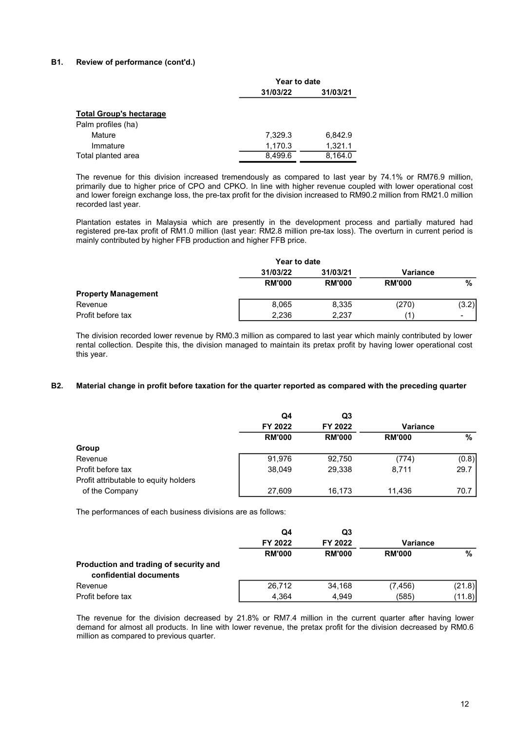### B1. Review of performance (cont'd.)

| Year to date<br>31/03/22<br>31/03/21<br>7,329.3<br>6,842.9<br>Mature<br>1,170.3<br>1,321.1<br>Immature<br>8,499.6<br>8,164.0<br>Year to date<br>31/03/22<br>31/03/21<br>Variance<br><b>RM'000</b><br><b>RM'000</b><br><b>RM'000</b> |                                                                                                           | $\overline{\frac{9}{6}}$                                                                                                                                                                                                                                                                                                                                                                                                                                                   |                     |
|-------------------------------------------------------------------------------------------------------------------------------------------------------------------------------------------------------------------------------------|-----------------------------------------------------------------------------------------------------------|----------------------------------------------------------------------------------------------------------------------------------------------------------------------------------------------------------------------------------------------------------------------------------------------------------------------------------------------------------------------------------------------------------------------------------------------------------------------------|---------------------|
|                                                                                                                                                                                                                                     |                                                                                                           |                                                                                                                                                                                                                                                                                                                                                                                                                                                                            |                     |
| mainly contributed by higher FFB production and higher FFB price.                                                                                                                                                                   | The revenue for this division increased tremendously as compared to last year by 74.1% or RM76.9 million, | primarily due to higher price of CPO and CPKO. In line with higher revenue coupled with lower operational cost<br>and lower foreign exchange loss, the pre-tax profit for the division increased to RM90.2 million from RM21.0 million<br>Plantation estates in Malaysia which are presently in the development process and partially matured had<br>registered pre-tax profit of RM1.0 million (last year: RM2.8 million pre-tax loss). The overturn in current period is |                     |
|                                                                                                                                                                                                                                     |                                                                                                           |                                                                                                                                                                                                                                                                                                                                                                                                                                                                            |                     |
| Total planted area                                                                                                                                                                                                                  |                                                                                                           |                                                                                                                                                                                                                                                                                                                                                                                                                                                                            | recorded last year. |
| <b>Total Group's hectarage</b><br>Palm profiles (ha)                                                                                                                                                                                | Review of performance (cont'd.)                                                                           |                                                                                                                                                                                                                                                                                                                                                                                                                                                                            |                     |
|                                                                                                                                                                                                                                     |                                                                                                           |                                                                                                                                                                                                                                                                                                                                                                                                                                                                            |                     |
|                                                                                                                                                                                                                                     |                                                                                                           |                                                                                                                                                                                                                                                                                                                                                                                                                                                                            |                     |
|                                                                                                                                                                                                                                     |                                                                                                           |                                                                                                                                                                                                                                                                                                                                                                                                                                                                            |                     |
|                                                                                                                                                                                                                                     |                                                                                                           |                                                                                                                                                                                                                                                                                                                                                                                                                                                                            |                     |
|                                                                                                                                                                                                                                     |                                                                                                           |                                                                                                                                                                                                                                                                                                                                                                                                                                                                            |                     |
|                                                                                                                                                                                                                                     |                                                                                                           |                                                                                                                                                                                                                                                                                                                                                                                                                                                                            |                     |
|                                                                                                                                                                                                                                     |                                                                                                           |                                                                                                                                                                                                                                                                                                                                                                                                                                                                            |                     |
|                                                                                                                                                                                                                                     |                                                                                                           |                                                                                                                                                                                                                                                                                                                                                                                                                                                                            |                     |

| Palm profiles (ha)<br>7,329.3<br>6,842.9<br>Mature<br>1,170.3<br>1,321.1<br>Immature                                                                                                                                                                                                                                                                                       |                |
|----------------------------------------------------------------------------------------------------------------------------------------------------------------------------------------------------------------------------------------------------------------------------------------------------------------------------------------------------------------------------|----------------|
|                                                                                                                                                                                                                                                                                                                                                                            |                |
|                                                                                                                                                                                                                                                                                                                                                                            |                |
|                                                                                                                                                                                                                                                                                                                                                                            |                |
| 8,164.0<br>8,499.6<br>Total planted area                                                                                                                                                                                                                                                                                                                                   |                |
| The revenue for this division increased tremendously as compared to last year by 74.1% or RM76.9 million,<br>primarily due to higher price of CPO and CPKO. In line with higher revenue coupled with lower operational cost<br>and lower foreign exchange loss, the pre-tax profit for the division increased to RM90.2 million from RM21.0 million<br>recorded last year. |                |
| Plantation estates in Malaysia which are presently in the development process and partially matured had<br>registered pre-tax profit of RM1.0 million (last year: RM2.8 million pre-tax loss). The overturn in current period is<br>mainly contributed by higher FFB production and higher FFB price.                                                                      |                |
| Year to date                                                                                                                                                                                                                                                                                                                                                               |                |
| 31/03/22<br>31/03/21                                                                                                                                                                                                                                                                                                                                                       | Variance       |
| <b>RM'000</b><br><b>RM'000</b>                                                                                                                                                                                                                                                                                                                                             | <b>RM'000</b>  |
| <b>Property Management</b>                                                                                                                                                                                                                                                                                                                                                 |                |
| Revenue<br>8,065<br>8,335                                                                                                                                                                                                                                                                                                                                                  | (3.2)<br>(270) |
| 2,236<br>2,237<br>Profit before tax                                                                                                                                                                                                                                                                                                                                        | (1)            |

#### B2. Material change in profit before taxation for the quarter reported as compared with the preceding quarter

|                                                                  | Q4<br>FY 2022 | Q3<br>FY 2022 | <b>Variance</b> |        |
|------------------------------------------------------------------|---------------|---------------|-----------------|--------|
|                                                                  | <b>RM'000</b> | <b>RM'000</b> | <b>RM'000</b>   | %      |
| Group                                                            |               |               |                 |        |
| Revenue                                                          | 91,976        | 92,750        | (774)           | (0.8)  |
| Profit before tax                                                | 38,049        | 29,338        | 8,711           | 29.7   |
| Profit attributable to equity holders                            |               |               |                 |        |
| of the Company                                                   | 27,609        | 16,173        | 11,436          | 70.7   |
|                                                                  | Q4<br>FY 2022 | Q3<br>FY 2022 | <b>Variance</b> |        |
|                                                                  |               |               |                 |        |
|                                                                  | <b>RM'000</b> | <b>RM'000</b> | <b>RM'000</b>   | $\%$   |
| Production and trading of security and<br>confidential documents |               |               |                 |        |
| Revenue                                                          | 26,712        | 34,168        | (7, 456)        | (21.8) |
| Profit before tax                                                | 4,364         | 4,949         | (585)           | (11.8) |

|                                        | Q4            | Q3            |                 |        |
|----------------------------------------|---------------|---------------|-----------------|--------|
|                                        | FY 2022       | FY 2022       | <b>Variance</b> |        |
|                                        | <b>RM'000</b> | <b>RM'000</b> | <b>RM'000</b>   | %      |
| Production and trading of security and |               |               |                 |        |
| confidential documents                 |               |               |                 |        |
| Revenue                                | 26.712        | 34.168        | (7, 456)        | (21.8) |
| Profit before tax                      | 4.364         | 4.949         | (585)           | (11.8) |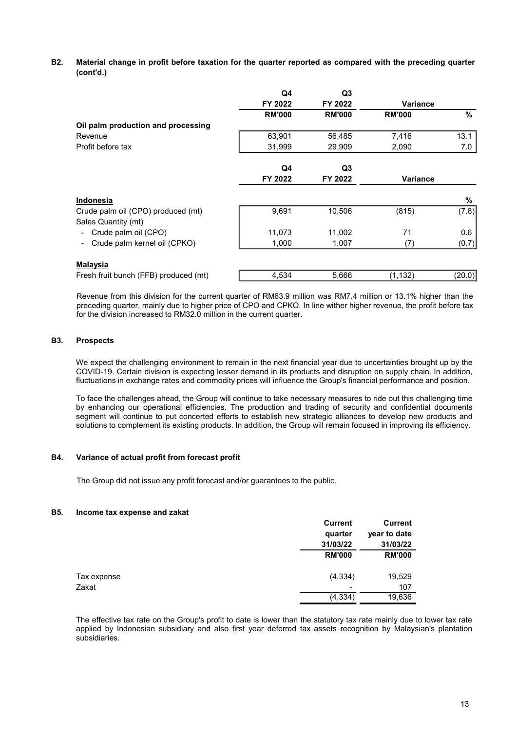B2. Material change in profit before taxation for the quarter reported as compared with the preceding quarter (cont'd.)

| (cont'd.)                                                                                                                                                                                                                                                                                                                                                                                                                                                                       |                |                |                 |         |
|---------------------------------------------------------------------------------------------------------------------------------------------------------------------------------------------------------------------------------------------------------------------------------------------------------------------------------------------------------------------------------------------------------------------------------------------------------------------------------|----------------|----------------|-----------------|---------|
|                                                                                                                                                                                                                                                                                                                                                                                                                                                                                 | Q <sub>4</sub> | Q3             |                 |         |
|                                                                                                                                                                                                                                                                                                                                                                                                                                                                                 | FY 2022        | FY 2022        | <b>Variance</b> |         |
|                                                                                                                                                                                                                                                                                                                                                                                                                                                                                 | <b>RM'000</b>  | <b>RM'000</b>  | <b>RM'000</b>   | $\%$    |
| Oil palm production and processing                                                                                                                                                                                                                                                                                                                                                                                                                                              |                |                |                 |         |
| Revenue                                                                                                                                                                                                                                                                                                                                                                                                                                                                         | 63,901         | 56,485         | 7,416           | 13.1    |
| Profit before tax                                                                                                                                                                                                                                                                                                                                                                                                                                                               | 31,999         | 29,909         | 2,090           | $7.0\,$ |
|                                                                                                                                                                                                                                                                                                                                                                                                                                                                                 | Q4             | Q <sub>3</sub> |                 |         |
|                                                                                                                                                                                                                                                                                                                                                                                                                                                                                 | FY 2022        | FY 2022        | Variance        |         |
| Indonesia                                                                                                                                                                                                                                                                                                                                                                                                                                                                       |                |                |                 | ℅       |
| Crude palm oil (CPO) produced (mt)                                                                                                                                                                                                                                                                                                                                                                                                                                              | 9,691          | 10,506         | (815)           | (7.8)   |
| Sales Quantity (mt)                                                                                                                                                                                                                                                                                                                                                                                                                                                             |                |                |                 |         |
| - Crude palm oil (CPO)                                                                                                                                                                                                                                                                                                                                                                                                                                                          | 11,073         | 11,002         | 71              | 0.6     |
| - Crude palm kernel oil (CPKO)                                                                                                                                                                                                                                                                                                                                                                                                                                                  | 1,000          | 1,007          | (7)             | (0.7)   |
| <u>Malaysia</u>                                                                                                                                                                                                                                                                                                                                                                                                                                                                 |                |                |                 |         |
| Fresh fruit bunch (FFB) produced (mt)                                                                                                                                                                                                                                                                                                                                                                                                                                           | 4,534          | 5,666          | (1, 132)        | (20.0)  |
| Revenue from this division for the current quarter of RM63.9 million was RM7.4 million or 13.1% higher than the<br>preceding quarter, mainly due to higher price of CPO and CPKO. In line wither higher revenue, the profit before tax<br>for the division increased to RM32.0 million in the current quarter.<br><b>Prospects</b>                                                                                                                                              |                |                |                 |         |
| We expect the challenging environment to remain in the next financial year due to uncertainties brought up by the<br>COVID-19. Certain division is expecting lesser demand in its products and disruption on supply chain. In addition,<br>fluctuations in exchange rates and commodity prices will influence the Group's financial performance and position.                                                                                                                   |                |                |                 |         |
| To face the challenges ahead, the Group will continue to take necessary measures to ride out this challenging time<br>by enhancing our operational efficiencies. The production and trading of security and confidential documents<br>segment will continue to put concerted efforts to establish new strategic alliances to develop new products and<br>solutions to complement its existing products. In addition, the Group will remain focused in improving its efficiency. |                |                |                 |         |
| Variance of actual profit from forecast profit                                                                                                                                                                                                                                                                                                                                                                                                                                  |                |                |                 |         |
| The Croup did not issue any profit ferecast and/or quarantees to the public                                                                                                                                                                                                                                                                                                                                                                                                     |                |                |                 |         |

#### B3. Prospects

**Malaysia**<br> **Malaysia**<br> **Eresh fruit bunch (FFB) produced (mt)**<br> **Exercision** from this division for the current quarter of RM63.9 million was RM7.4 million or 13.1% higher than the<br>
Reversue for the division increased to

#### B4. Variance of actual profit from forecast profit

#### B5. Income tax expense and zakat

| To face the challenges ahead, the Group will continue to take necessary measures to ride out this challenging time<br>by enhancing our operational efficiencies. The production and trading of security and confidential documents<br>segment will continue to put concerted efforts to establish new strategic alliances to develop new products and<br>solutions to complement its existing products. In addition, the Group will remain focused in improving its efficiency. |                |                |  |
|---------------------------------------------------------------------------------------------------------------------------------------------------------------------------------------------------------------------------------------------------------------------------------------------------------------------------------------------------------------------------------------------------------------------------------------------------------------------------------|----------------|----------------|--|
| Variance of actual profit from forecast profit                                                                                                                                                                                                                                                                                                                                                                                                                                  |                |                |  |
| The Group did not issue any profit forecast and/or guarantees to the public.                                                                                                                                                                                                                                                                                                                                                                                                    |                |                |  |
| Income tax expense and zakat                                                                                                                                                                                                                                                                                                                                                                                                                                                    |                |                |  |
|                                                                                                                                                                                                                                                                                                                                                                                                                                                                                 | <b>Current</b> | <b>Current</b> |  |
|                                                                                                                                                                                                                                                                                                                                                                                                                                                                                 | quarter        | year to date   |  |
|                                                                                                                                                                                                                                                                                                                                                                                                                                                                                 | 31/03/22       | 31/03/22       |  |
|                                                                                                                                                                                                                                                                                                                                                                                                                                                                                 | <b>RM'000</b>  | <b>RM'000</b>  |  |
| Tax expense                                                                                                                                                                                                                                                                                                                                                                                                                                                                     | (4, 334)       | 19,529         |  |
| Zakat                                                                                                                                                                                                                                                                                                                                                                                                                                                                           |                | 107            |  |
|                                                                                                                                                                                                                                                                                                                                                                                                                                                                                 | (4, 334)       | 19,636         |  |
| The effective tax rate on the Group's profit to date is lower than the statutory tax rate mainly due to lower tax rate<br>applied by Indonesian subsidiary and also first year deferred tax assets recognition by Malaysian's plantation<br>subsidiaries.                                                                                                                                                                                                                       |                |                |  |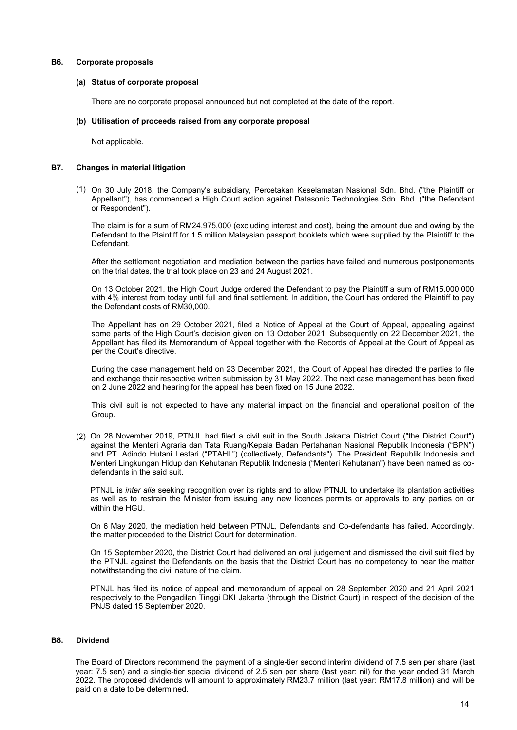#### B6. Corporate proposals

#### (a) Status of corporate proposal

Status of corporate proposal<br>There are no corporate proposal announced but not completed at the date of the report.<br>Utilisation of proceeds raised from any corporate proposal<br>Not applicable.

#### (b) Utilisation of proceeds raised from any corporate proposal

Not applicable.

#### B7. Changes in material litigation

(1) On 30 July 2018, the Company's subsidiary, Percetakan Keselamatan Nasional Sdn. Bhd. ("the Plaintiff or Status of corporate proposal<br>There are no corporate proposal announced but not completed at the date of the report.<br>Utilisation of proceeds raised from any corporate proposal<br>Not applicable.<br>Appellant'), has commenced a Hi Status of corporate proposal<br>There are no corporate proposal announced but not completed at the date of the report.<br>Utilisation of proceeds raised from any corporate proposal<br>Not applicable.<br>The claim is for a sum of RM24, orate proposals<br>Status of corporate proposal<br>There are no corporate proposal announced but not completed at the date of the repo<br>Utilisation of proceeds raised from any corporate proposal<br>Not applicable.<br>Not applicable.<br>On Status of corporate proposal<br>There are no corporate proposal announced but not completed at the date of the report.<br>Utilisation of proceeds raised from any corporate proposal<br>Not applicable.<br><br>Mot applicable.<br>On 30 July 201 **Status of corporate proposal<br>There are no corporate proposal announced but not completed at the date of the report.<br>
Not applicable.**<br>
Not applicable.<br> **Not applicable.**<br>
On 30 July 2018, the Company's subsidiary, Perceta

Defendant.

Status of corporate proposal<br>There are no corporate proposal announced but not completed at the date of the report.<br>There are no corporate proposal announced but not completed at the date of the report.<br>Applilant<sup>u</sup>), has **Status of corporats**<br> **Status of corporate proposal**<br>
There are no corporate proposal announced but not completed at the date of the report.<br>
INditisation of proceeds raised from any corporate proposal<br>
Not applicable.<br>
I Status of corporate proposal<br>There are no corporate proposal announced but not completed at the date of the report.<br>The are no corporate proposal announced but not completed at the date of the report.<br>Applicantification<br>On

Status of corporate proposal<br>There are no corporate proposal announced but not completed at the date of the report.<br>
Utilisation of proceeds raised from any corporate proposal<br>
Not applicable.<br>
Mot applicable.<br>
Mot applica Status of corporate proposal<br>
There are no corporate proposal announced but not completed at the date of the report.<br>
Utilisation of proceeds raised from any corporate proposal<br>
Not applicable.<br>
Not applicable.<br>
Not applic There are no corporate proposal announced but not completed at the date of the report.<br>
Utilisation of proceeds raised from any corporate proposal<br>
Not applicable.<br>
Mot applicable.<br>
Mot applicable.<br>
Mot applicable.<br>
Mot ap Utilisation of proceeds raised from any corporate proposal<br>
Not applicable.<br>
Not applicable.<br>
On 30 July 2018, the Company's subsidiary, Percelakan Keselamatan Nasional Sdn. Bhd. ("the Plaintiff or<br>
Appellant"), has commen Utilisation of proceeds raised from any corporate proposal<br>
Not applicable.<br>
Motapplicable.<br>
Motapplication<br>
On 30 July 2018, the Company's subsidiary, Percetakan Keselamatan Nasional Sdn. Bhd. ("the Plaintiff or<br>
Or Respo Not applicable.<br>
Mot applicable.<br>
On 30 July 2018, the Company's subsidiary, Percetakan Keselamatan Nasional Sdn, Bhd. ("the caural of Mapellant"), has commenced a High Court action against Datasonic Technologies Sdn. Bhd. not applicant in the Company's subsidiary, Percetakan Keselamatan Nasional Sdn. Bhd. ("the Plaintiff or Appellant"), has commenced a High Court action against Datasonic Technologies Sdn. Bhd. ("the Defendant or Respondent" **and exchange in material litigation**<br>
On 30 July 2018, the Company's subsidiary, Percetakan Keselamatan Nasional Sdn. Bhd. ("the Plaintiff or<br>
Appellant"), has commenced a High Court action against Datasonic Technologies **on 30** June aterial litigation<br>
On 30 July 2018, the Company's subsidiary, Percetakan Keselamatan Nasional Sdn. Bhd. ("the Plaintiff or<br>
Appellant'), has commenced a High Court action against Datasonic Technologies Sdn. B On 30 July 2018, the Company's subsidiary, Percetakan Keselamatan Nasional Sdn. Bhd. ("the Plaintiff or Appellant"), has commenced a High Court action against Datasonic Technologies Sdn. Bhd. ("the Defendant or Respondent"

Group.

(2) On 28 November 2019, PTNJL had filed a civil suit in the South Jakarta District Court ("the District Court") (2) (2) on 23 November 2001, Pirkul, and media a columical busine the District Court (the Users Court)<br>against the Menter Agranic dan Tata Ruang/Kepala Badan Pertahanan Nasional Republik Indonesia ("BPN")<br>Menteri Lingkunga or Responsive the Date and method on 2019, excluding interest and cost), being the amount due and owing by the Defendant to the Plaintiff for 1.5 million Malaysian passport booklets which were supplied by the Datendant<br>Oef The claim is for a sum of RM24.975.000 (excluding interest and cost), being the amount due and owing by the Defendant to the Plaintiff or 1.5 million Malaysian passport bookiets which were supplied by the Plaintiff to the The wann is out as sum to riving the Plaintiff of 1.5 million Malaysian passport booklets which were supplied by the Plaintiff to the<br>Defendant to the Plaintiff or 1.5 million Malaysian passport booklets which were supplie Defendant is the settlement megalian measure and mediation between the particle and numerous postponements after the settlement in equilibration and mediation between the particles and the bright of the train the time sett Detenuant.<br>
After the settlement negotiation and mediation between the parties have failed and numerous postpone<br>
on the trial dates, the trial took place on 23 and 24 August 2021.<br>
On 13 October 2021, the High Court Judge Note that the the tell dots, the High Court Judge ordered the Defendant to pay the Plaintiff a sum of RM15,000,000<br>On the tital dates, the High Court Judge ordered the Defendant to pay the Plaintiff a sum of RM15,000,000<br>o of the wall as to restrain the Minister Constrained and the Minister Constrained and Constrained and Solen Solen 2021, the Appellant has to restrain the Appellant has the Appellant has or 29 October 2021, filed a Notice of On 13 October 2021, the High Court Judge ordered the Defendant to pay the Plaintiff a sum<br>with 4% interest from today until full and final settlement. In addition, the Court has ordered<br>the Defendant costs of RM30,000.<br>The whe view head to the Datin Constraint of the Dating and the mediation of Appeal at the Court and overe ure Framin in pays<br>The Appellant has on 29 October 2021, filed a Notice of Appeal at the Court of Appeal appeal<br>some pa the Mometa Court of Appeal at the Court of Appeal at the Court of Appeal, appealing against some parts of the High Courts decision given on 13 October 2021, Subsequently on 22 December 2021, the Appeliant has filed its Mem None and Reflection and Privation Courts are a matter of the Court of Appearance in the District Court in Appearance and the Present of the Present Court of Appearance per the Court's directories.<br>
per the Court's director Some paint the Court Some Tower and the Processor of Appeal at the Court of Appeal at the Court of Appeal as<br>
During the case management held on 23 December 2021, the Court of Appeal has directed the parties to file<br>
and e Appearance are once in the minimization of Appearance with the two-court of Appearance are count of Appearance per the Court's directly exilting the case management held on 23 December 2021, the Court of Appeal has directe During the case management held on 23 December 2021, the Court of Appeal has directed the parties to file and acchange heir respective written submassion by 3 May 2022. The next case management has been fixed on 15 June 20 barta case was well as to respect to the District Court for determination. The next case management has been fixed on 12 June 2022. The next case management has been fixed on 12 June 2022. The next case management has been and extrange their respective wintern submission by the appeal has been fixed on 15 June 2022.<br>This civil suit is not expected to have any material impact on the financial and operational position of the<br>This civil suit is

#### B8. Dividend

against me Montern Agrama dan tara tuargaynepala Bradan Pertananan Nasional republik Indonesia ("Herin") collectively, Defendants"). The President Republik Indonesia ("Herin" Lingkungan Hiddup dan Kehutanan Republik Indone and P1. Admor Hutus in testant ("PIAHL) (collectively). Defendants J. In e President Kepublik Policial Montesia ("Menteri Lingkungan Hidup dan Kehutanan Republik Indonesia ("Menteri Kehutanan") have been named as co-<br>defen Menter Lingtungan Higungian Higungian Hepublik Indonesia ("Menteri Kenutanan") have been noted defendants in the said suit.<br>
PTNJL is *inter alia* seeking recognition over its rights and to allow PTNJL to undertake its pla